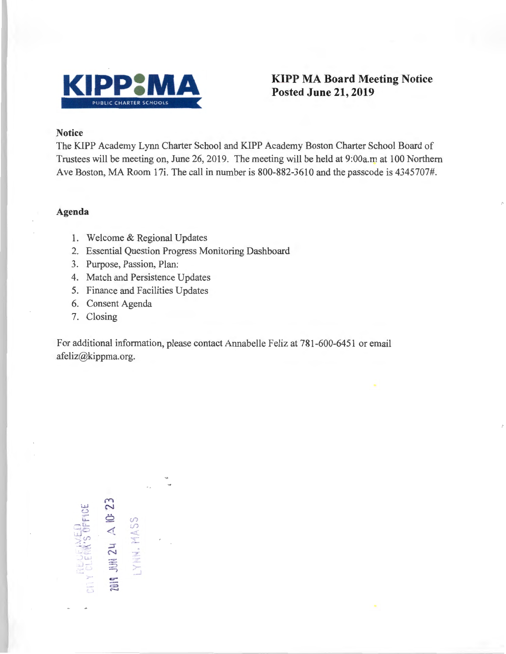

## **KIPP MA Board Meeting Notice Posted June 21, 2019**

## **,Notice**

The KIPP Academy Lynn Charter School and KIPP Academy Boston Charter School Board of Trustees will be meeting on, June 26, 2019. The meeting will be held at 9:00a.m at 100 Northern Ave Boston, MA Room 17i. The call in number is 800-882-3610 and the passcode is 4345707#.

## **Agenda**

- 1. Welcome & Regional Updates
- 2. Essential Question Progress Monitoring Dashboard
- 3. Purpose, Passion, Plan:
- 4. Match and Persistence Updates
- 5. Finance and Facilities Updates
- 6. Consent Agenda
- 7. Closing

For additional information, please contact Annabelle Feliz at 781-600-6451 or email  $afeliz@kippma.org.$ 

 $\approx$  23  $I = 0$ **1** S OF<br>  $\begin{bmatrix} 1 & A \\ A & B \end{bmatrix}$ N. C. T. A. J. A. J. A. J. A. J. A. J. A. J. A. J. A. J. A. J. A. J. A. J. A. J. A. J. A. J. A. J. A. J. A. J. A. J. A. J. A. J. A. J. A. J. A. J. A. J. A. J. A. J. A. J. A. J. A. J. A. J. A. J. A. J. A. J. A. J. A. J. A.  $\Xi$